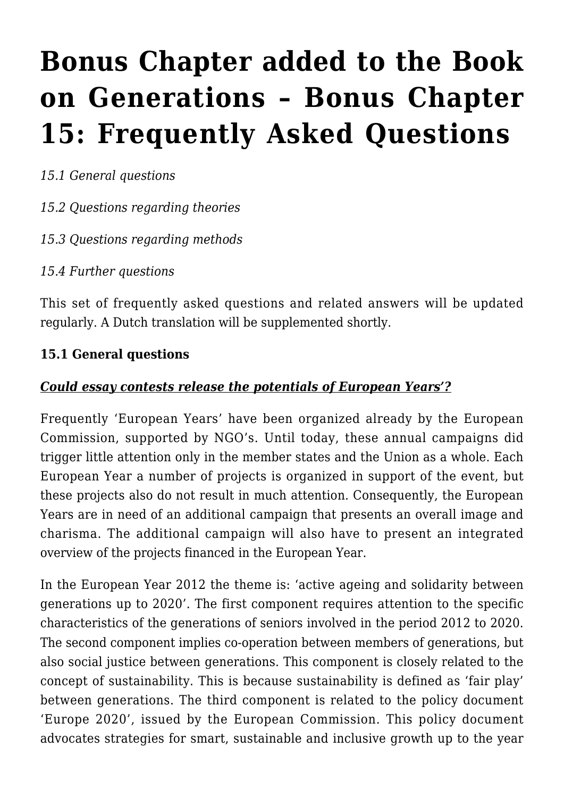# **[Bonus Chapter added to the Book](https://rozenbergquarterly.com/europe_gen1/) [on Generations – Bonus Chapter](https://rozenbergquarterly.com/europe_gen1/) [15: Frequently Asked Questions](https://rozenbergquarterly.com/europe_gen1/)**

*15.1 General questions*

*15.2 Questions regarding theories*

*15.3 Questions regarding methods*

*15.4 Further questions*

This set of frequently asked questions and related answers will be updated regularly. A Dutch translation will be supplemented shortly.

#### **15.1 General questions**

#### *Could essay contests release the potentials of European Years'?*

Frequently 'European Years' have been organized already by the European Commission, supported by NGO's. Until today, these annual campaigns did trigger little attention only in the member states and the Union as a whole. Each European Year a number of projects is organized in support of the event, but these projects also do not result in much attention. Consequently, the European Years are in need of an additional campaign that presents an overall image and charisma. The additional campaign will also have to present an integrated overview of the projects financed in the European Year.

In the European Year 2012 the theme is: 'active ageing and solidarity between generations up to 2020'. The first component requires attention to the specific characteristics of the generations of seniors involved in the period 2012 to 2020. The second component implies co-operation between members of generations, but also social justice between generations. This component is closely related to the concept of sustainability. This is because sustainability is defined as 'fair play' between generations. The third component is related to the policy document 'Europe 2020', issued by the European Commission. This policy document advocates strategies for smart, sustainable and inclusive growth up to the year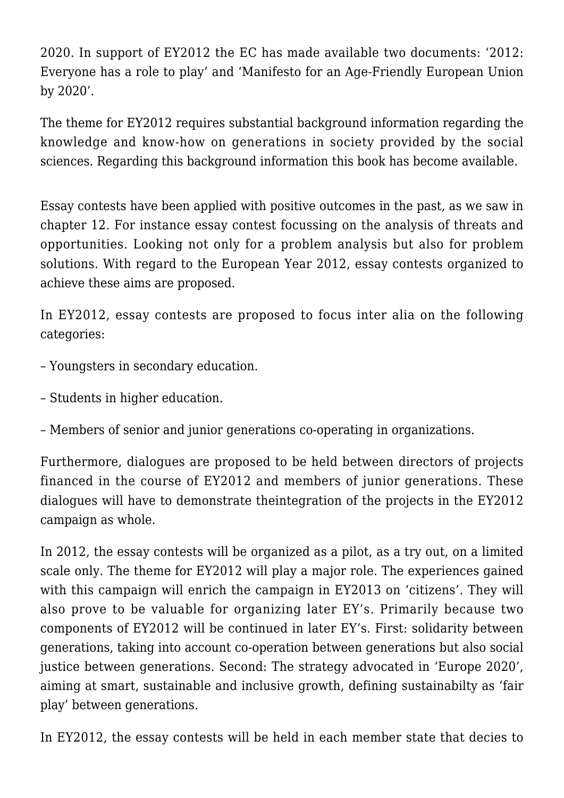2020. In support of EY2012 the EC has made available two documents: '2012: Everyone has a role to play' and 'Manifesto for an Age-Friendly European Union by 2020'.

The theme for EY2012 requires substantial background information regarding the knowledge and know-how on generations in society provided by the social sciences. Regarding this background information this book has become available.

Essay contests have been applied with positive outcomes in the past, as we saw in chapter 12. For instance essay contest focussing on the analysis of threats and opportunities. Looking not only for a problem analysis but also for problem solutions. With regard to the European Year 2012, essay contests organized to achieve these aims are proposed.

In EY2012, essay contests are proposed to focus inter alia on the following categories:

- Youngsters in secondary education.
- Students in higher education.
- Members of senior and junior generations co-operating in organizations.

Furthermore, dialogues are proposed to be held between directors of projects financed in the course of EY2012 and members of junior generations. These dialogues will have to demonstrate theintegration of the projects in the EY2012 campaign as whole.

In 2012, the essay contests will be organized as a pilot, as a try out, on a limited scale only. The theme for EY2012 will play a major role. The experiences gained with this campaign will enrich the campaign in EY2013 on 'citizens'. They will also prove to be valuable for organizing later EY's. Primarily because two components of EY2012 will be continued in later EY's. First: solidarity between generations, taking into account co-operation between generations but also social justice between generations. Second: The strategy advocated in 'Europe 2020', aiming at smart, sustainable and inclusive growth, defining sustainabilty as 'fair play' between generations.

In EY2012, the essay contests will be held in each member state that decies to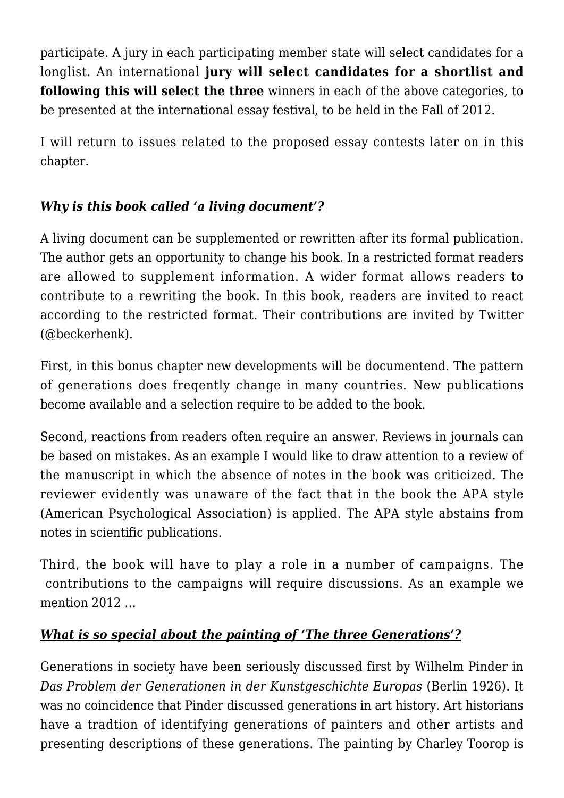participate. A jury in each participating member state will select candidates for a longlist. An international **jury will select candidates for a shortlist and following this will select the three** winners in each of the above categories, to be presented at the international essay festival, to be held in the Fall of 2012.

I will return to issues related to the proposed essay contests later on in this chapter.

## *Why is this book called 'a living document'?*

A living document can be supplemented or rewritten after its formal publication. The author gets an opportunity to change his book. In a restricted format readers are allowed to supplement information. A wider format allows readers to contribute to a rewriting the book. In this book, readers are invited to react according to the restricted format. Their contributions are invited by Twitter (@beckerhenk).

First, in this bonus chapter new developments will be documentend. The pattern of generations does freqently change in many countries. New publications become available and a selection require to be added to the book.

Second, reactions from readers often require an answer. Reviews in journals can be based on mistakes. As an example I would like to draw attention to a review of the manuscript in which the absence of notes in the book was criticized. The reviewer evidently was unaware of the fact that in the book the APA style (American Psychological Association) is applied. The APA style abstains from notes in scientific publications.

Third, the book will have to play a role in a number of campaigns. The contributions to the campaigns will require discussions. As an example we mention 2012 …

## *What is so special about the painting of 'The three Generations'?*

Generations in society have been seriously discussed first by Wilhelm Pinder in *Das Problem der Generationen in der Kunstgeschichte Europas* (Berlin 1926). It was no coincidence that Pinder discussed generations in art history. Art historians have a tradtion of identifying generations of painters and other artists and presenting descriptions of these generations. The painting by Charley Toorop is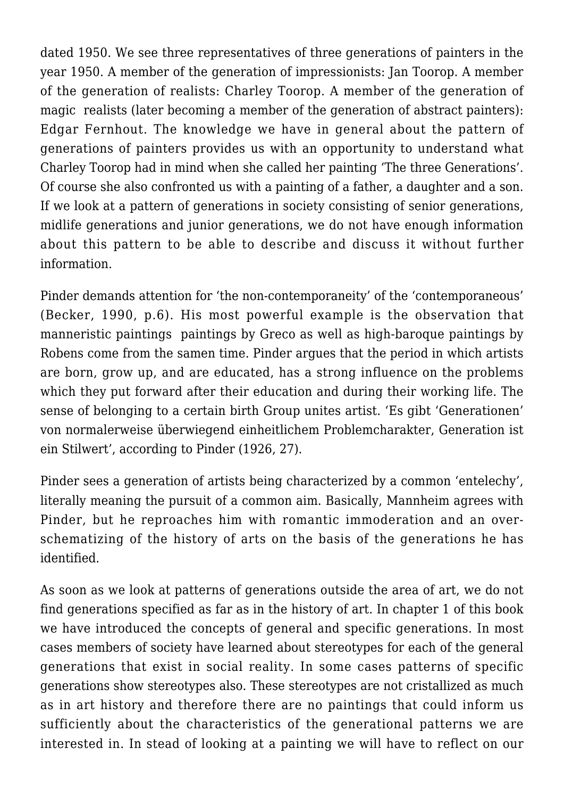dated 1950. We see three representatives of three generations of painters in the year 1950. A member of the generation of impressionists: Jan Toorop. A member of the generation of realists: Charley Toorop. A member of the generation of magic realists (later becoming a member of the generation of abstract painters): Edgar Fernhout. The knowledge we have in general about the pattern of generations of painters provides us with an opportunity to understand what Charley Toorop had in mind when she called her painting 'The three Generations'. Of course she also confronted us with a painting of a father, a daughter and a son. If we look at a pattern of generations in society consisting of senior generations, midlife generations and junior generations, we do not have enough information about this pattern to be able to describe and discuss it without further information.

Pinder demands attention for 'the non-contemporaneity' of the 'contemporaneous' (Becker, 1990, p.6). His most powerful example is the observation that manneristic paintings paintings by Greco as well as high-baroque paintings by Robens come from the samen time. Pinder argues that the period in which artists are born, grow up, and are educated, has a strong influence on the problems which they put forward after their education and during their working life. The sense of belonging to a certain birth Group unites artist. 'Es gibt 'Generationen' von normalerweise überwiegend einheitlichem Problemcharakter, Generation ist ein Stilwert', according to Pinder (1926, 27).

Pinder sees a generation of artists being characterized by a common 'entelechy', literally meaning the pursuit of a common aim. Basically, Mannheim agrees with Pinder, but he reproaches him with romantic immoderation and an overschematizing of the history of arts on the basis of the generations he has identified.

As soon as we look at patterns of generations outside the area of art, we do not find generations specified as far as in the history of art. In chapter 1 of this book we have introduced the concepts of general and specific generations. In most cases members of society have learned about stereotypes for each of the general generations that exist in social reality. In some cases patterns of specific generations show stereotypes also. These stereotypes are not cristallized as much as in art history and therefore there are no paintings that could inform us sufficiently about the characteristics of the generational patterns we are interested in. In stead of looking at a painting we will have to reflect on our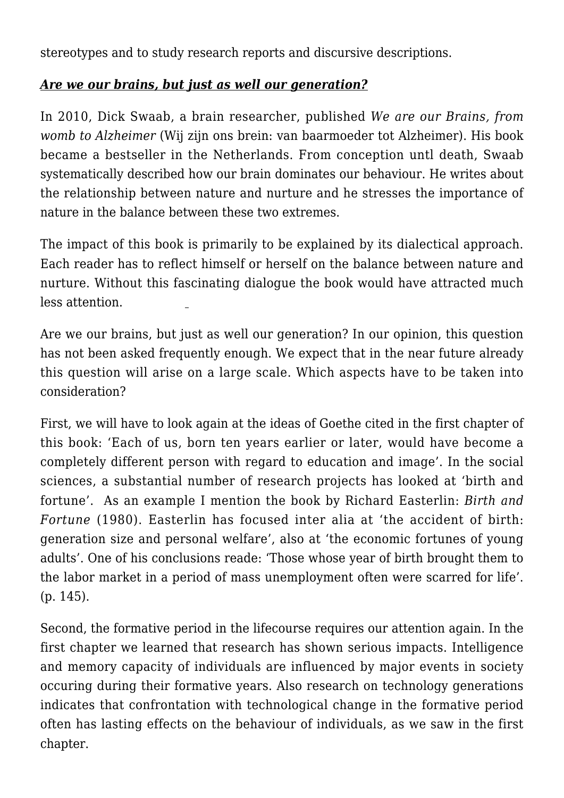stereotypes and to study research reports and discursive descriptions.

## *Are we our brains, but just as well our generation?*

In 2010, Dick Swaab, a brain researcher, published *We are our Brains, from womb to Alzheimer* (Wij zijn ons brein: van baarmoeder tot Alzheimer). His book became a bestseller in the Netherlands. From conception untl death, Swaab systematically described how our brain dominates our behaviour. He writes about the relationship between nature and nurture and he stresses the importance of nature in the balance between these two extremes.

The impact of this book is primarily to be explained by its dialectical approach. Each reader has to reflect himself or herself on the balance between nature and nurture. Without this fascinating dialogue the book would have attracted much less attention.

Are we our brains, but just as well our generation? In our opinion, this question has not been asked frequently enough. We expect that in the near future already this question will arise on a large scale. Which aspects have to be taken into consideration?

First, we will have to look again at the ideas of Goethe cited in the first chapter of this book: 'Each of us, born ten years earlier or later, would have become a completely different person with regard to education and image'. In the social sciences, a substantial number of research projects has looked at 'birth and fortune'. As an example I mention the book by Richard Easterlin: *Birth and Fortune* (1980). Easterlin has focused inter alia at 'the accident of birth: generation size and personal welfare', also at 'the economic fortunes of young adults'. One of his conclusions reade: 'Those whose year of birth brought them to the labor market in a period of mass unemployment often were scarred for life'. (p. 145).

Second, the formative period in the lifecourse requires our attention again. In the first chapter we learned that research has shown serious impacts. Intelligence and memory capacity of individuals are influenced by major events in society occuring during their formative years. Also research on technology generations indicates that confrontation with technological change in the formative period often has lasting effects on the behaviour of individuals, as we saw in the first chapter.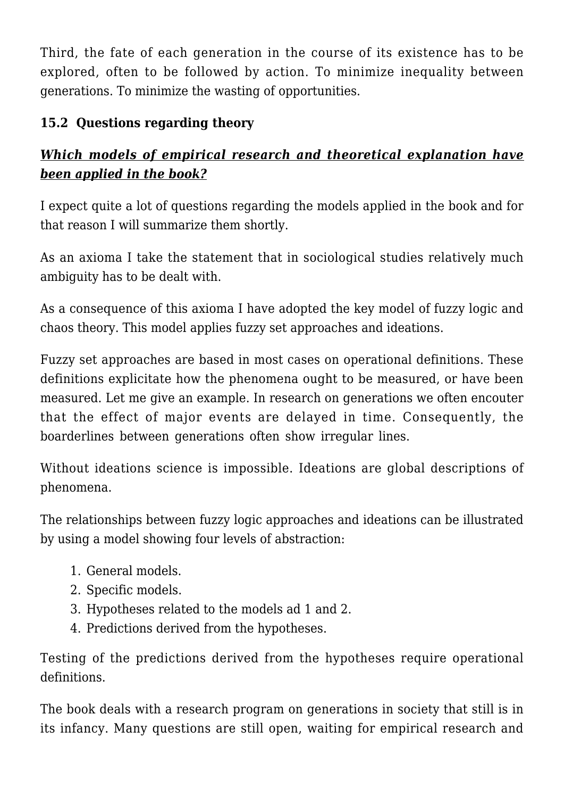Third, the fate of each generation in the course of its existence has to be explored, often to be followed by action. To minimize inequality between generations. To minimize the wasting of opportunities.

## **15.2 Questions regarding theory**

# *Which models of empirical research and theoretical explanation have been applied in the book?*

I expect quite a lot of questions regarding the models applied in the book and for that reason I will summarize them shortly.

As an axioma I take the statement that in sociological studies relatively much ambiguity has to be dealt with.

As a consequence of this axioma I have adopted the key model of fuzzy logic and chaos theory. This model applies fuzzy set approaches and ideations.

Fuzzy set approaches are based in most cases on operational definitions. These definitions explicitate how the phenomena ought to be measured, or have been measured. Let me give an example. In research on generations we often encouter that the effect of major events are delayed in time. Consequently, the boarderlines between generations often show irregular lines.

Without ideations science is impossible. Ideations are global descriptions of phenomena.

The relationships between fuzzy logic approaches and ideations can be illustrated by using a model showing four levels of abstraction:

- 1. General models.
- 2. Specific models.
- 3. Hypotheses related to the models ad 1 and 2.
- 4. Predictions derived from the hypotheses.

Testing of the predictions derived from the hypotheses require operational definitions.

The book deals with a research program on generations in society that still is in its infancy. Many questions are still open, waiting for empirical research and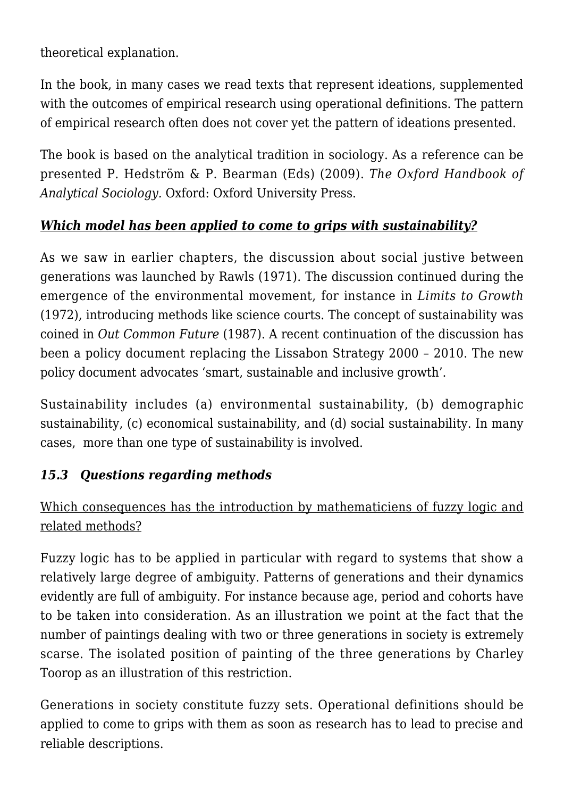theoretical explanation.

In the book, in many cases we read texts that represent ideations, supplemented with the outcomes of empirical research using operational definitions. The pattern of empirical research often does not cover yet the pattern of ideations presented.

The book is based on the analytical tradition in sociology. As a reference can be presented P. Hedström & P. Bearman (Eds) (2009). *The Oxford Handbook of Analytical Sociology.* Oxford: Oxford University Press.

## *Which model has been applied to come to grips with sustainability?*

As we saw in earlier chapters, the discussion about social justive between generations was launched by Rawls (1971). The discussion continued during the emergence of the environmental movement, for instance in *Limits to Growth* (1972), introducing methods like science courts. The concept of sustainability was coined in *Out Common Future* (1987). A recent continuation of the discussion has been a policy document replacing the Lissabon Strategy 2000 – 2010. The new policy document advocates 'smart, sustainable and inclusive growth'.

Sustainability includes (a) environmental sustainability, (b) demographic sustainability, (c) economical sustainability, and (d) social sustainability. In many cases, more than one type of sustainability is involved.

#### *15.3 Questions regarding methods*

Which consequences has the introduction by mathematiciens of fuzzy logic and related methods?

Fuzzy logic has to be applied in particular with regard to systems that show a relatively large degree of ambiguity. Patterns of generations and their dynamics evidently are full of ambiguity. For instance because age, period and cohorts have to be taken into consideration. As an illustration we point at the fact that the number of paintings dealing with two or three generations in society is extremely scarse. The isolated position of painting of the three generations by Charley Toorop as an illustration of this restriction.

Generations in society constitute fuzzy sets. Operational definitions should be applied to come to grips with them as soon as research has to lead to precise and reliable descriptions.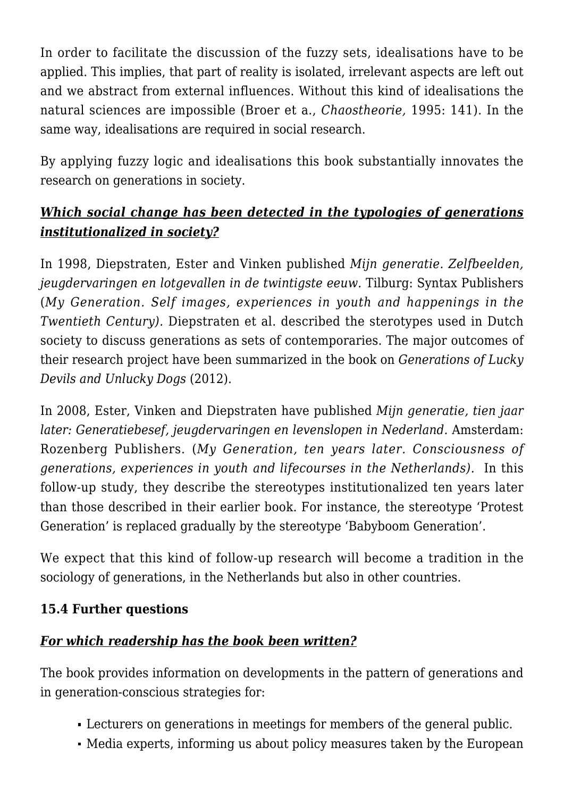In order to facilitate the discussion of the fuzzy sets, idealisations have to be applied. This implies, that part of reality is isolated, irrelevant aspects are left out and we abstract from external influences. Without this kind of idealisations the natural sciences are impossible (Broer et a., *Chaostheorie,* 1995: 141). In the same way, idealisations are required in social research.

By applying fuzzy logic and idealisations this book substantially innovates the research on generations in society.

# *Which social change has been detected in the typologies of generations institutionalized in society?*

In 1998, Diepstraten, Ester and Vinken published *Mijn generatie. Zelfbeelden, jeugdervaringen en lotgevallen in de twintigste eeuw.* Tilburg: Syntax Publishers (*My Generation. Self images, experiences in youth and happenings in the Twentieth Century).* Diepstraten et al. described the sterotypes used in Dutch society to discuss generations as sets of contemporaries. The major outcomes of their research project have been summarized in the book on *Generations of Lucky Devils and Unlucky Dogs* (2012).

In 2008, Ester, Vinken and Diepstraten have published *Mijn generatie, tien jaar later: Generatiebesef, jeugdervaringen en levenslopen in Nederland.* Amsterdam: Rozenberg Publishers. (*My Generation, ten years later. Consciousness of generations, experiences in youth and lifecourses in the Netherlands).* In this follow-up study, they describe the stereotypes institutionalized ten years later than those described in their earlier book. For instance, the stereotype 'Protest Generation' is replaced gradually by the stereotype 'Babyboom Generation'.

We expect that this kind of follow-up research will become a tradition in the sociology of generations, in the Netherlands but also in other countries.

#### **15.4 Further questions**

## *For which readership has the book been written?*

The book provides information on developments in the pattern of generations and in generation-conscious strategies for:

- Lecturers on generations in meetings for members of the general public.
- Media experts, informing us about policy measures taken by the European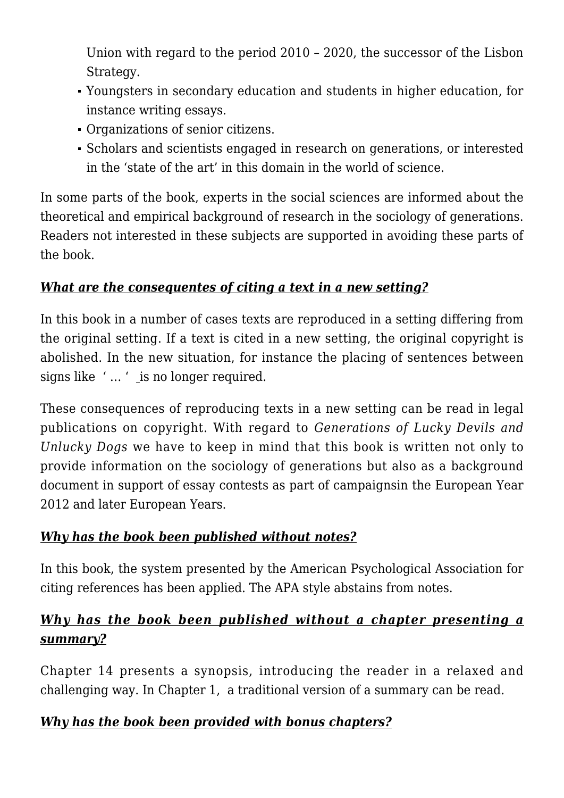Union with regard to the period 2010 – 2020, the successor of the Lisbon Strategy.

- Youngsters in secondary education and students in higher education, for instance writing essays.
- Organizations of senior citizens.
- Scholars and scientists engaged in research on generations, or interested in the 'state of the art' in this domain in the world of science.

In some parts of the book, experts in the social sciences are informed about the theoretical and empirical background of research in the sociology of generations. Readers not interested in these subjects are supported in avoiding these parts of the book.

## *What are the consequentes of citing a text in a new setting?*

In this book in a number of cases texts are reproduced in a setting differing from the original setting. If a text is cited in a new setting, the original copyright is abolished. In the new situation, for instance the placing of sentences between signs like '... ' is no longer required.

These consequences of reproducing texts in a new setting can be read in legal publications on copyright. With regard to *Generations of Lucky Devils and Unlucky Dogs* we have to keep in mind that this book is written not only to provide information on the sociology of generations but also as a background document in support of essay contests as part of campaignsin the European Year 2012 and later European Years.

# *Why has the book been published without notes?*

In this book, the system presented by the American Psychological Association for citing references has been applied. The APA style abstains from notes.

# *Why has the book been published without a chapter presenting a summary?*

Chapter 14 presents a synopsis, introducing the reader in a relaxed and challenging way. In Chapter 1, a traditional version of a summary can be read.

## *Why has the book been provided with bonus chapters?*